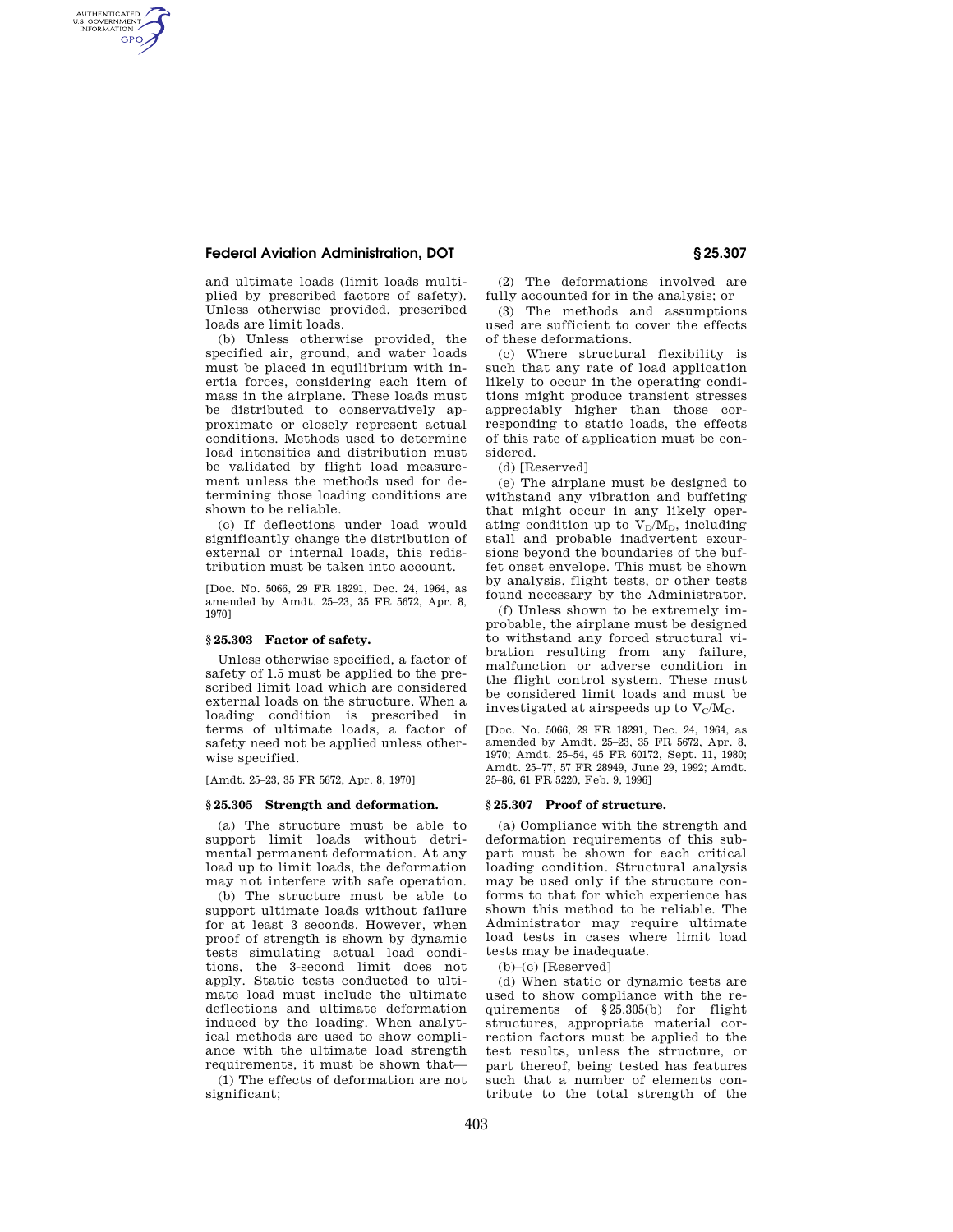## **Federal Aviation Administration, DOT § 25.307**

AUTHENTICATED<br>U.S. GOVERNMENT<br>INFORMATION **GPO** 

> and ultimate loads (limit loads multiplied by prescribed factors of safety). Unless otherwise provided, prescribed loads are limit loads.

> (b) Unless otherwise provided, the specified air, ground, and water loads must be placed in equilibrium with inertia forces, considering each item of mass in the airplane. These loads must be distributed to conservatively approximate or closely represent actual conditions. Methods used to determine load intensities and distribution must be validated by flight load measurement unless the methods used for determining those loading conditions are shown to be reliable.

> (c) If deflections under load would significantly change the distribution of external or internal loads, this redistribution must be taken into account.

> [Doc. No. 5066, 29 FR 18291, Dec. 24, 1964, as amended by Amdt. 25–23, 35 FR 5672, Apr. 8, 1970]

### **§ 25.303 Factor of safety.**

Unless otherwise specified, a factor of safety of 1.5 must be applied to the prescribed limit load which are considered external loads on the structure. When a loading condition is prescribed in terms of ultimate loads, a factor of safety need not be applied unless otherwise specified.

[Amdt. 25–23, 35 FR 5672, Apr. 8, 1970]

# **§ 25.305 Strength and deformation.**

(a) The structure must be able to support limit loads without detrimental permanent deformation. At any load up to limit loads, the deformation may not interfere with safe operation.

(b) The structure must be able to support ultimate loads without failure for at least 3 seconds. However, when proof of strength is shown by dynamic tests simulating actual load conditions, the 3-second limit does not apply. Static tests conducted to ultimate load must include the ultimate deflections and ultimate deformation induced by the loading. When analytical methods are used to show compliance with the ultimate load strength requirements, it must be shown that—

(1) The effects of deformation are not significant:

(2) The deformations involved are fully accounted for in the analysis; or

(3) The methods and assumptions used are sufficient to cover the effects of these deformations.

(c) Where structural flexibility is such that any rate of load application likely to occur in the operating conditions might produce transient stresses appreciably higher than those corresponding to static loads, the effects of this rate of application must be considered.

(d) [Reserved]

(e) The airplane must be designed to withstand any vibration and buffeting that might occur in any likely operating condition up to  $V_D/M_D$ , including stall and probable inadvertent excursions beyond the boundaries of the buffet onset envelope. This must be shown by analysis, flight tests, or other tests found necessary by the Administrator.

(f) Unless shown to be extremely improbable, the airplane must be designed to withstand any forced structural vibration resulting from any failure, malfunction or adverse condition in the flight control system. These must be considered limit loads and must be investigated at airspeeds up to  $V_c/M_c$ .

[Doc. No. 5066, 29 FR 18291, Dec. 24, 1964, as amended by Amdt. 25–23, 35 FR 5672, Apr. 8, 1970; Amdt. 25–54, 45 FR 60172, Sept. 11, 1980; Amdt. 25–77, 57 FR 28949, June 29, 1992; Amdt. 25–86, 61 FR 5220, Feb. 9, 1996]

### **§ 25.307 Proof of structure.**

(a) Compliance with the strength and deformation requirements of this subpart must be shown for each critical loading condition. Structural analysis may be used only if the structure conforms to that for which experience has shown this method to be reliable. The Administrator may require ultimate load tests in cases where limit load tests may be inadequate.

 $(b)$ – $(c)$  [Reserved]

(d) When static or dynamic tests are used to show compliance with the requirements of §25.305(b) for flight structures, appropriate material correction factors must be applied to the test results, unless the structure, or part thereof, being tested has features such that a number of elements contribute to the total strength of the